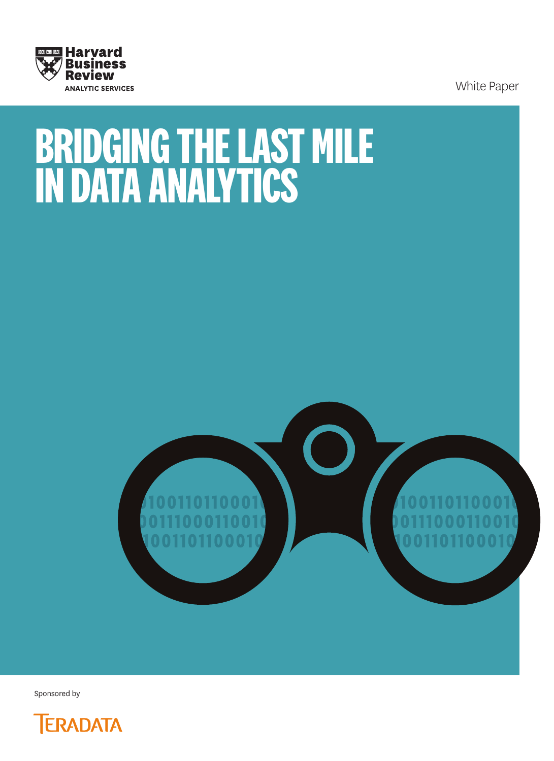

White Paper

# **BRIDGING THE LAST MILE IN DATA ANALYTICS**



Sponsored by

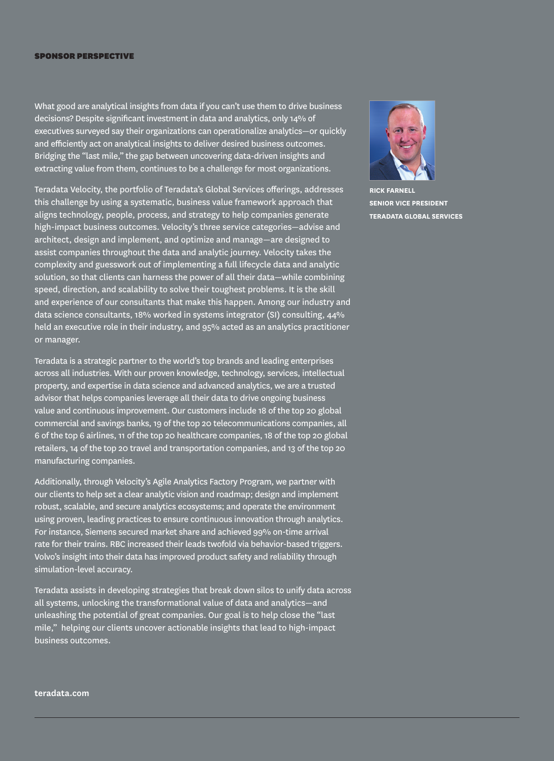#### SPONSOR PERSPECTIVE

What good are analytical insights from data if you can't use them to drive business decisions? Despite significant investment in data and analytics, only 14% of executives surveyed say their organizations can operationalize analytics—or quickly and efficiently act on analytical insights to deliver desired business outcomes. Bridging the "last mile," the gap between uncovering data-driven insights and extracting value from them, continues to be a challenge for most organizations.

Teradata Velocity, the portfolio of Teradata's Global Services offerings, addresses this challenge by using a systematic, business value framework approach that aligns technology, people, process, and strategy to help companies generate high-impact business outcomes. Velocity's three service categories—advise and architect, design and implement, and optimize and manage—are designed to assist companies throughout the data and analytic journey. Velocity takes the complexity and guesswork out of implementing a full lifecycle data and analytic solution, so that clients can harness the power of all their data—while combining speed, direction, and scalability to solve their toughest problems. It is the skill and experience of our consultants that make this happen. Among our industry and data science consultants, 18% worked in systems integrator (SI) consulting, 44% held an executive role in their industry, and 95% acted as an analytics practitioner or manager.

Teradata is a strategic partner to the world's top brands and leading enterprises across all industries. With our proven knowledge, technology, services, intellectual property, and expertise in data science and advanced analytics, we are a trusted advisor that helps companies leverage all their data to drive ongoing business value and continuous improvement. Our customers include 18 of the top 20 global commercial and savings banks, 19 of the top 20 telecommunications companies, all 6 of the top 6 airlines, 11 of the top 20 healthcare companies, 18 of the top 20 global retailers, 14 of the top 20 travel and transportation companies, and 13 of the top 20 manufacturing companies.

Additionally, through Velocity's Agile Analytics Factory Program, we partner with our clients to help set a clear analytic vision and roadmap; design and implement robust, scalable, and secure analytics ecosystems; and operate the environment using proven, leading practices to ensure continuous innovation through analytics. For instance, Siemens secured market share and achieved 99% on-time arrival rate for their trains. RBC increased their leads twofold via behavior-based triggers. Volvo's insight into their data has improved product safety and reliability through simulation-level accuracy.

Teradata assists in developing strategies that break down silos to unify data across all systems, unlocking the transformational value of data and analytics—and unleashing the potential of great companies. Our goal is to help close the "last mile," helping our clients uncover actionable insights that lead to high-impact business outcomes.



**RICK FARNELL SENIOR VICE PRESIDENT TERADATA GLOBAL SERVICES**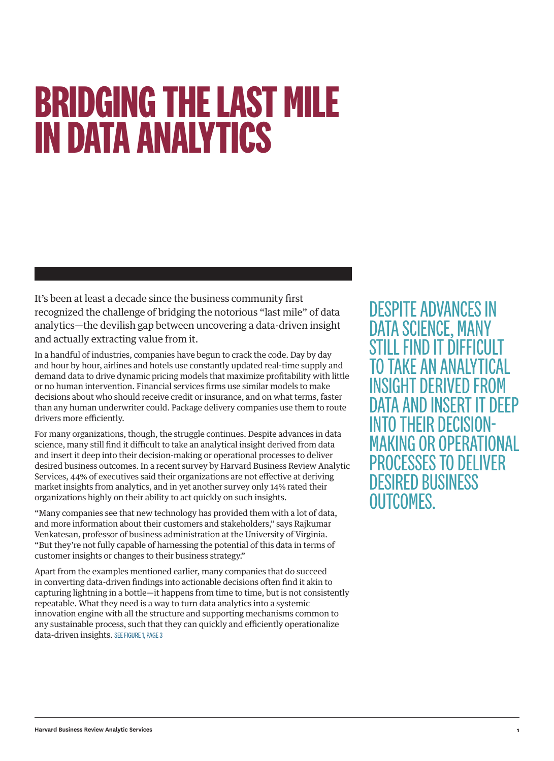## **BRIDGING THE LAST MILE IN DATA ANALYTICS**

It's been at least a decade since the business community first recognized the challenge of bridging the notorious "last mile" of data analytics—the devilish gap between uncovering a data-driven insight and actually extracting value from it.

In a handful of industries, companies have begun to crack the code. Day by day and hour by hour, airlines and hotels use constantly updated real-time supply and demand data to drive dynamic pricing models that maximize profitability with little or no human intervention. Financial services firms use similar models to make decisions about who should receive credit or insurance, and on what terms, faster than any human underwriter could. Package delivery companies use them to route drivers more efficiently.

For many organizations, though, the struggle continues. Despite advances in data science, many still find it difficult to take an analytical insight derived from data and insert it deep into their decision-making or operational processes to deliver desired business outcomes. In a recent survey by Harvard Business Review Analytic Services, 44% of executives said their organizations are not effective at deriving market insights from analytics, and in yet another survey only 14% rated their organizations highly on their ability to act quickly on such insights.

"Many companies see that new technology has provided them with a lot of data, and more information about their customers and stakeholders," says Rajkumar Venkatesan, professor of business administration at the University of Virginia. "But they're not fully capable of harnessing the potential of this data in terms of customer insights or changes to their business strategy."

Apart from the examples mentioned earlier, many companies that do succeed in converting data-driven findings into actionable decisions often find it akin to capturing lightning in a bottle—it happens from time to time, but is not consistently repeatable. What they need is a way to turn data analytics into a systemic innovation engine with all the structure and supporting mechanisms common to any sustainable process, such that they can quickly and efficiently operationalize data-driven insights. SEE FIGURE 1, PAGE 3

DESPITE ADVANCES IN DATA SCIENCE, MANY STILL FIND IT DIFFICULT TO TAKE AN ANALYT INSIGHT DFRIVED FR DATA AND INSERT INTO THEIR DECISION-MAKING OR OPERATIONAL PROCESSES TO DELIVER DESIRED BUSINESS OUTCOMES.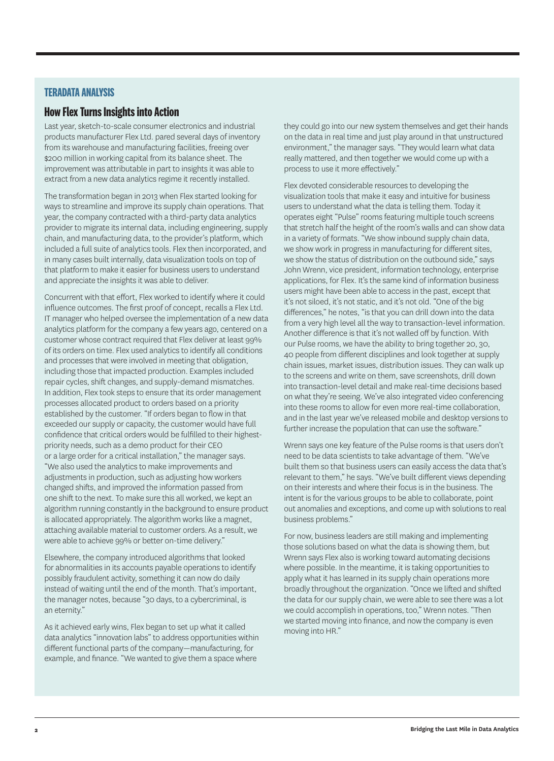## **TERADATA ANALYSIS**

## **How Flex Turns Insights into Action**

Last year, sketch-to-scale consumer electronics and industrial products manufacturer Flex Ltd. pared several days of inventory from its warehouse and manufacturing facilities, freeing over \$200 million in working capital from its balance sheet. The improvement was attributable in part to insights it was able to extract from a new data analytics regime it recently installed.

The transformation began in 2013 when Flex started looking for ways to streamline and improve its supply chain operations. That year, the company contracted with a third-party data analytics provider to migrate its internal data, including engineering, supply chain, and manufacturing data, to the provider's platform, which included a full suite of analytics tools. Flex then incorporated, and in many cases built internally, data visualization tools on top of that platform to make it easier for business users to understand and appreciate the insights it was able to deliver.

Concurrent with that effort, Flex worked to identify where it could influence outcomes. The first proof of concept, recalls a Flex Ltd. IT manager who helped oversee the implementation of a new data analytics platform for the company a few years ago, centered on a customer whose contract required that Flex deliver at least 99% of its orders on time. Flex used analytics to identify all conditions and processes that were involved in meeting that obligation, including those that impacted production. Examples included repair cycles, shift changes, and supply-demand mismatches. In addition, Flex took steps to ensure that its order management processes allocated product to orders based on a priority established by the customer. "If orders began to flow in that exceeded our supply or capacity, the customer would have full confidence that critical orders would be fulfilled to their highestpriority needs, such as a demo product for their CEO or a large order for a critical installation," the manager says. "We also used the analytics to make improvements and adjustments in production, such as adjusting how workers changed shifts, and improved the information passed from one shift to the next. To make sure this all worked, we kept an algorithm running constantly in the background to ensure product is allocated appropriately. The algorithm works like a magnet, attaching available material to customer orders. As a result, we were able to achieve 99% or better on-time delivery."

Elsewhere, the company introduced algorithms that looked for abnormalities in its accounts payable operations to identify possibly fraudulent activity, something it can now do daily instead of waiting until the end of the month. That's important, the manager notes, because "30 days, to a cybercriminal, is an eternity."

As it achieved early wins, Flex began to set up what it called data analytics "innovation labs" to address opportunities within different functional parts of the company—manufacturing, for example, and finance. "We wanted to give them a space where

they could go into our new system themselves and get their hands on the data in real time and just play around in that unstructured environment," the manager says. "They would learn what data really mattered, and then together we would come up with a process to use it more effectively."

Flex devoted considerable resources to developing the visualization tools that make it easy and intuitive for business users to understand what the data is telling them. Today it operates eight "Pulse" rooms featuring multiple touch screens that stretch half the height of the room's walls and can show data in a variety of formats. "We show inbound supply chain data, we show work in progress in manufacturing for different sites, we show the status of distribution on the outbound side," says John Wrenn, vice president, information technology, enterprise applications, for Flex. It's the same kind of information business users might have been able to access in the past, except that it's not siloed, it's not static, and it's not old. "One of the big differences," he notes, "is that you can drill down into the data from a very high level all the way to transaction-level information. Another difference is that it's not walled off by function. With our Pulse rooms, we have the ability to bring together 20, 30, 40 people from different disciplines and look together at supply chain issues, market issues, distribution issues. They can walk up to the screens and write on them, save screenshots, drill down into transaction-level detail and make real-time decisions based on what they're seeing. We've also integrated video conferencing into these rooms to allow for even more real-time collaboration, and in the last year we've released mobile and desktop versions to further increase the population that can use the software."

Wrenn says one key feature of the Pulse rooms is that users don't need to be data scientists to take advantage of them. "We've built them so that business users can easily access the data that's relevant to them," he says. "We've built different views depending on their interests and where their focus is in the business. The intent is for the various groups to be able to collaborate, point out anomalies and exceptions, and come up with solutions to real business problems."

For now, business leaders are still making and implementing those solutions based on what the data is showing them, but Wrenn says Flex also is working toward automating decisions where possible. In the meantime, it is taking opportunities to apply what it has learned in its supply chain operations more broadly throughout the organization. "Once we lifted and shifted the data for our supply chain, we were able to see there was a lot we could accomplish in operations, too," Wrenn notes. "Then we started moving into finance, and now the company is even moving into HR."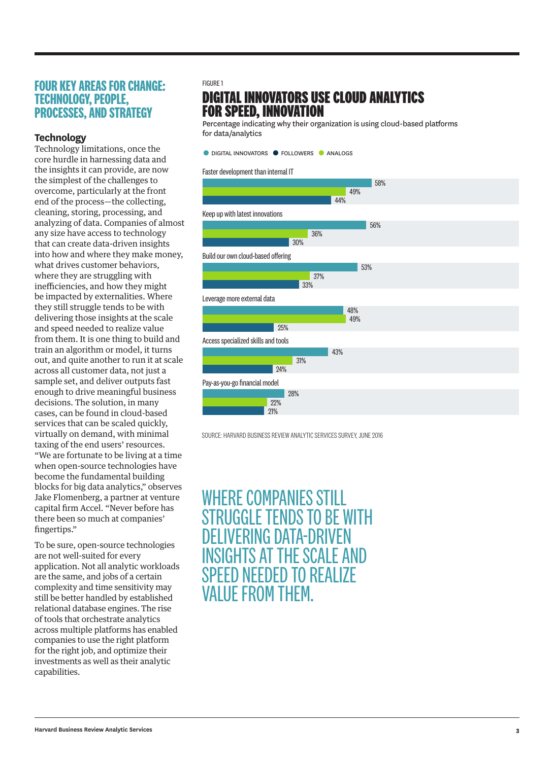## **FOUR KEY AREAS FOR CHANGE: TECHNOLOGY, PEOPLE, PROCESSES, AND STRATEGY**

## **Technology**

Technology limitations, once the core hurdle in harnessing data and the insights it can provide, are now the simplest of the challenges to overcome, particularly at the front end of the process—the collecting, cleaning, storing, processing, and analyzing of data. Companies of almost any size have access to technology that can create data-driven insights into how and where they make money, what drives customer behaviors, where they are struggling with inefficiencies, and how they might be impacted by externalities. Where they still struggle tends to be with delivering those insights at the scale and speed needed to realize value from them. It is one thing to build and train an algorithm or model, it turns out, and quite another to run it at scale across all customer data, not just a sample set, and deliver outputs fast enough to drive meaningful business decisions. The solution, in many cases, can be found in cloud-based services that can be scaled quickly, virtually on demand, with minimal taxing of the end users' resources. "We are fortunate to be living at a time when open-source technologies have become the fundamental building blocks for big data analytics," observes Jake Flomenberg, a partner at venture capital firm Accel. "Never before has there been so much at companies' fingertips."

To be sure, open-source technologies are not well-suited for every application. Not all analytic workloads are the same, and jobs of a certain complexity and time sensitivity may still be better handled by established relational database engines. The rise of tools that orchestrate analytics across multiple platforms has enabled companies to use the right platform for the right job, and optimize their investments as well as their analytic capabilities.

#### FIGURE 1

## **DIGITAL INNOVATORS USE CLOUD ANALYTICS FOR SPEED, INNOVATION**

Percentage indicating why their organization is using cloud-based platforms for data/analytics

**• DIGITAL INNOVATORS • FOLLOWERS • ANALOGS** 

#### Faster development than internal IT



SOURCE: HARVARD BUSINESS REVIEW ANALYTIC SERVICES SURVEY, JUNE 2016

WHERE COMPANIES STILL STRUGGLE TENDS TO BE WITH DELIVERING DATA-DRIVEN INSIGHTS AT THE SCALE AND SPEED NEEDED TO REALIZE VALUE FROM THEM.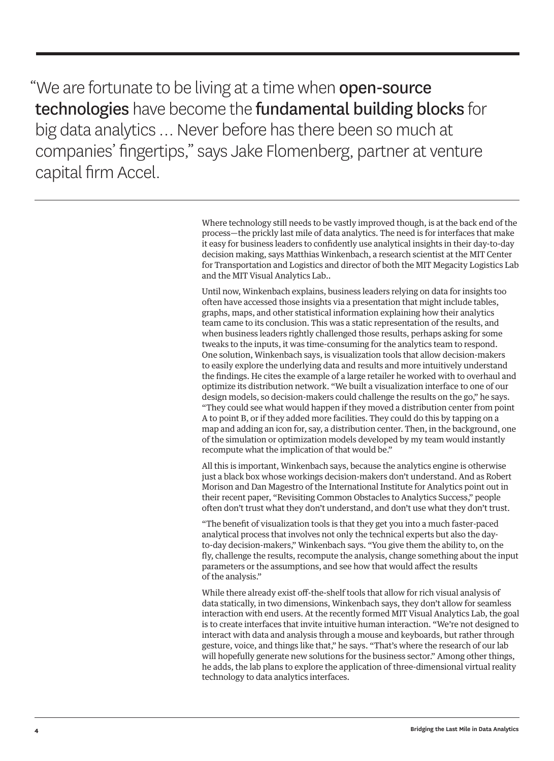"We are fortunate to be living at a time when **open-source** technologies have become the fundamental building blocks for big data analytics … Never before has there been so much at companies' fingertips," says Jake Flomenberg, partner at venture capital firm Accel.

> Where technology still needs to be vastly improved though, is at the back end of the process—the prickly last mile of data analytics. The need is for interfaces that make it easy for business leaders to confidently use analytical insights in their day-to-day decision making, says Matthias Winkenbach, a research scientist at the MIT Center for Transportation and Logistics and director of both the MIT Megacity Logistics Lab and the MIT Visual Analytics Lab..

> Until now, Winkenbach explains, business leaders relying on data for insights too often have accessed those insights via a presentation that might include tables, graphs, maps, and other statistical information explaining how their analytics team came to its conclusion. This was a static representation of the results, and when business leaders rightly challenged those results, perhaps asking for some tweaks to the inputs, it was time-consuming for the analytics team to respond. One solution, Winkenbach says, is visualization tools that allow decision-makers to easily explore the underlying data and results and more intuitively understand the findings. He cites the example of a large retailer he worked with to overhaul and optimize its distribution network. "We built a visualization interface to one of our design models, so decision-makers could challenge the results on the go," he says. "They could see what would happen if they moved a distribution center from point A to point B, or if they added more facilities. They could do this by tapping on a map and adding an icon for, say, a distribution center. Then, in the background, one of the simulation or optimization models developed by my team would instantly recompute what the implication of that would be."

All this is important, Winkenbach says, because the analytics engine is otherwise just a black box whose workings decision-makers don't understand. And as Robert Morison and Dan Magestro of the International Institute for Analytics point out in their recent paper, "Revisiting Common Obstacles to Analytics Success," people often don't trust what they don't understand, and don't use what they don't trust.

"The benefit of visualization tools is that they get you into a much faster-paced analytical process that involves not only the technical experts but also the dayto-day decision-makers," Winkenbach says. "You give them the ability to, on the fly, challenge the results, recompute the analysis, change something about the input parameters or the assumptions, and see how that would affect the results of the analysis."

While there already exist off-the-shelf tools that allow for rich visual analysis of data statically, in two dimensions, Winkenbach says, they don't allow for seamless interaction with end users. At the recently formed MIT Visual Analytics Lab, the goal is to create interfaces that invite intuitive human interaction. "We're not designed to interact with data and analysis through a mouse and keyboards, but rather through gesture, voice, and things like that," he says. "That's where the research of our lab will hopefully generate new solutions for the business sector." Among other things, he adds, the lab plans to explore the application of three-dimensional virtual reality technology to data analytics interfaces.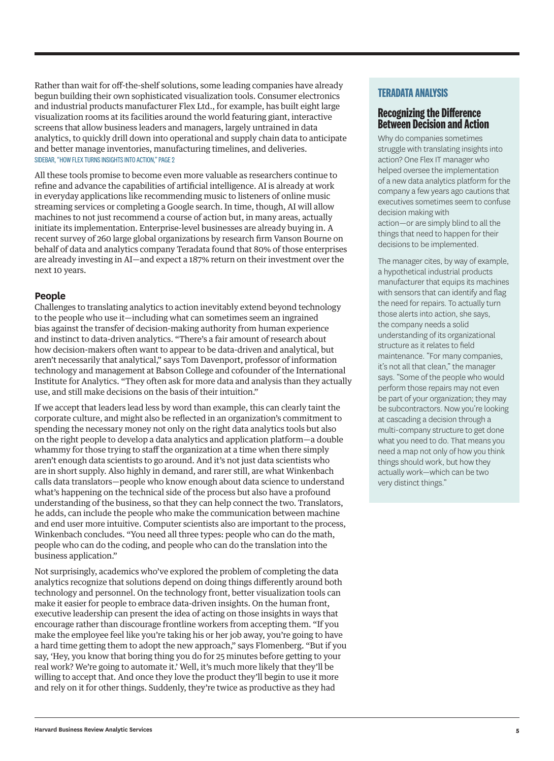Rather than wait for off-the-shelf solutions, some leading companies have already begun building their own sophisticated visualization tools. Consumer electronics and industrial products manufacturer Flex Ltd., for example, has built eight large visualization rooms at its facilities around the world featuring giant, interactive screens that allow business leaders and managers, largely untrained in data analytics, to quickly drill down into operational and supply chain data to anticipate and better manage inventories, manufacturing timelines, and deliveries. SIDEBAR, "HOW FLEX TURNS INSIGHTS INTO ACTION," PAGE 2

All these tools promise to become even more valuable as researchers continue to refine and advance the capabilities of artificial intelligence. AI is already at work in everyday applications like recommending music to listeners of online music streaming services or completing a Google search. In time, though, AI will allow machines to not just recommend a course of action but, in many areas, actually initiate its implementation. Enterprise-level businesses are already buying in. A recent survey of 260 large global organizations by research firm Vanson Bourne on behalf of data and analytics company Teradata found that 80% of those enterprises are already investing in AI—and expect a 187% return on their investment over the next 10 years.

### **People**

Challenges to translating analytics to action inevitably extend beyond technology to the people who use it—including what can sometimes seem an ingrained bias against the transfer of decision-making authority from human experience and instinct to data-driven analytics. "There's a fair amount of research about how decision-makers often want to appear to be data-driven and analytical, but aren't necessarily that analytical," says Tom Davenport, professor of information technology and management at Babson College and cofounder of the International Institute for Analytics. "They often ask for more data and analysis than they actually use, and still make decisions on the basis of their intuition."

If we accept that leaders lead less by word than example, this can clearly taint the corporate culture, and might also be reflected in an organization's commitment to spending the necessary money not only on the right data analytics tools but also on the right people to develop a data analytics and application platform—a double whammy for those trying to staff the organization at a time when there simply aren't enough data scientists to go around. And it's not just data scientists who are in short supply. Also highly in demand, and rarer still, are what Winkenbach calls data translators—people who know enough about data science to understand what's happening on the technical side of the process but also have a profound understanding of the business, so that they can help connect the two. Translators, he adds, can include the people who make the communication between machine and end user more intuitive. Computer scientists also are important to the process, Winkenbach concludes. "You need all three types: people who can do the math, people who can do the coding, and people who can do the translation into the business application."

Not surprisingly, academics who've explored the problem of completing the data analytics recognize that solutions depend on doing things differently around both technology and personnel. On the technology front, better visualization tools can make it easier for people to embrace data-driven insights. On the human front, executive leadership can present the idea of acting on those insights in ways that encourage rather than discourage frontline workers from accepting them. "If you make the employee feel like you're taking his or her job away, you're going to have a hard time getting them to adopt the new approach," says Flomenberg. "But if you say, 'Hey, you know that boring thing you do for 25 minutes before getting to your real work? We're going to automate it.' Well, it's much more likely that they'll be willing to accept that. And once they love the product they'll begin to use it more and rely on it for other things. Suddenly, they're twice as productive as they had

## **TERADATA ANALYSIS**

### **Recognizing the Difference Between Decision and Action**

Why do companies sometimes struggle with translating insights into action? One Flex IT manager who helped oversee the implementation of a new data analytics platform for the company a few years ago cautions that executives sometimes seem to confuse decision making with action—or are simply blind to all the

things that need to happen for their decisions to be implemented.

The manager cites, by way of example, a hypothetical industrial products manufacturer that equips its machines with sensors that can identify and flag the need for repairs. To actually turn those alerts into action, she says, the company needs a solid understanding of its organizational structure as it relates to field maintenance. "For many companies, it's not all that clean," the manager says. "Some of the people who would perform those repairs may not even be part of your organization; they may be subcontractors. Now you're looking at cascading a decision through a multi-company structure to get done what you need to do. That means you need a map not only of how you think things should work, but how they actually work—which can be two very distinct things."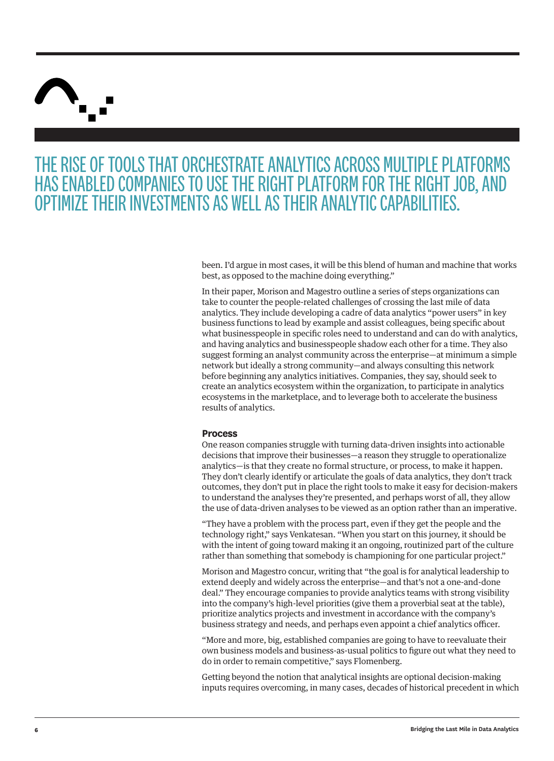

## THE RISE OF TOOLS THAT ORCHESTRATE ANALYTICS ACROSS MULTIPLE PLATFORMS HAS ENABLED COMPANIES TO USE THE RIGHT PLATFORM FOR THE RIGHT JOB, AND OPTIMIZE THEIR INVESTMENTS AS WELL AS THEIR ANALYTIC CAPABILITIES.

been. I'd argue in most cases, it will be this blend of human and machine that works best, as opposed to the machine doing everything."

In their paper, Morison and Magestro outline a series of steps organizations can take to counter the people-related challenges of crossing the last mile of data analytics. They include developing a cadre of data analytics "power users" in key business functions to lead by example and assist colleagues, being specific about what businesspeople in specific roles need to understand and can do with analytics, and having analytics and businesspeople shadow each other for a time. They also suggest forming an analyst community across the enterprise—at minimum a simple network but ideally a strong community—and always consulting this network before beginning any analytics initiatives. Companies, they say, should seek to create an analytics ecosystem within the organization, to participate in analytics ecosystems in the marketplace, and to leverage both to accelerate the business results of analytics.

#### **Process**

One reason companies struggle with turning data-driven insights into actionable decisions that improve their businesses—a reason they struggle to operationalize analytics—is that they create no formal structure, or process, to make it happen. They don't clearly identify or articulate the goals of data analytics, they don't track outcomes, they don't put in place the right tools to make it easy for decision-makers to understand the analyses they're presented, and perhaps worst of all, they allow the use of data-driven analyses to be viewed as an option rather than an imperative.

"They have a problem with the process part, even if they get the people and the technology right," says Venkatesan. "When you start on this journey, it should be with the intent of going toward making it an ongoing, routinized part of the culture rather than something that somebody is championing for one particular project."

Morison and Magestro concur, writing that "the goal is for analytical leadership to extend deeply and widely across the enterprise—and that's not a one-and-done deal." They encourage companies to provide analytics teams with strong visibility into the company's high-level priorities (give them a proverbial seat at the table), prioritize analytics projects and investment in accordance with the company's business strategy and needs, and perhaps even appoint a chief analytics officer.

"More and more, big, established companies are going to have to reevaluate their own business models and business-as-usual politics to figure out what they need to do in order to remain competitive," says Flomenberg.

Getting beyond the notion that analytical insights are optional decision-making inputs requires overcoming, in many cases, decades of historical precedent in which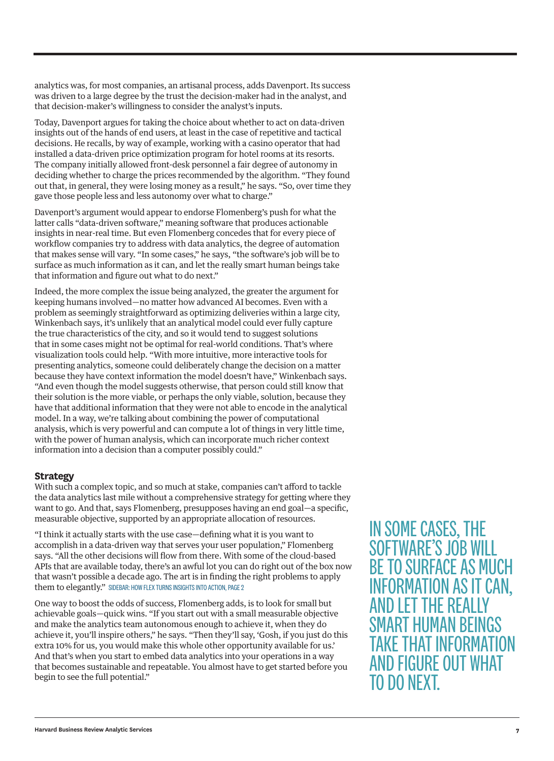analytics was, for most companies, an artisanal process, adds Davenport. Its success was driven to a large degree by the trust the decision-maker had in the analyst, and that decision-maker's willingness to consider the analyst's inputs.

Today, Davenport argues for taking the choice about whether to act on data-driven insights out of the hands of end users, at least in the case of repetitive and tactical decisions. He recalls, by way of example, working with a casino operator that had installed a data-driven price optimization program for hotel rooms at its resorts. The company initially allowed front-desk personnel a fair degree of autonomy in deciding whether to charge the prices recommended by the algorithm. "They found out that, in general, they were losing money as a result," he says. "So, over time they gave those people less and less autonomy over what to charge."

Davenport's argument would appear to endorse Flomenberg's push for what the latter calls "data-driven software," meaning software that produces actionable insights in near-real time. But even Flomenberg concedes that for every piece of workflow companies try to address with data analytics, the degree of automation that makes sense will vary. "In some cases," he says, "the software's job will be to surface as much information as it can, and let the really smart human beings take that information and figure out what to do next."

Indeed, the more complex the issue being analyzed, the greater the argument for keeping humans involved—no matter how advanced AI becomes. Even with a problem as seemingly straightforward as optimizing deliveries within a large city, Winkenbach says, it's unlikely that an analytical model could ever fully capture the true characteristics of the city, and so it would tend to suggest solutions that in some cases might not be optimal for real-world conditions. That's where visualization tools could help. "With more intuitive, more interactive tools for presenting analytics, someone could deliberately change the decision on a matter because they have context information the model doesn't have," Winkenbach says. "And even though the model suggests otherwise, that person could still know that their solution is the more viable, or perhaps the only viable, solution, because they have that additional information that they were not able to encode in the analytical model. In a way, we're talking about combining the power of computational analysis, which is very powerful and can compute a lot of things in very little time, with the power of human analysis, which can incorporate much richer context information into a decision than a computer possibly could."

### **Strategy**

With such a complex topic, and so much at stake, companies can't afford to tackle the data analytics last mile without a comprehensive strategy for getting where they want to go. And that, says Flomenberg, presupposes having an end goal—a specific, measurable objective, supported by an appropriate allocation of resources.

"I think it actually starts with the use case—defining what it is you want to accomplish in a data-driven way that serves your user population," Flomenberg says. "All the other decisions will flow from there. With some of the cloud-based APIs that are available today, there's an awful lot you can do right out of the box now that wasn't possible a decade ago. The art is in finding the right problems to apply them to elegantly." SIDEBAR: HOW FLEX TURNS INSIGHTS INTO ACTION, PAGE 2

One way to boost the odds of success, Flomenberg adds, is to look for small but achievable goals—quick wins. "If you start out with a small measurable objective and make the analytics team autonomous enough to achieve it, when they do achieve it, you'll inspire others," he says. "Then they'll say, 'Gosh, if you just do this extra 10% for us, you would make this whole other opportunity available for us.' And that's when you start to embed data analytics into your operations in a way that becomes sustainable and repeatable. You almost have to get started before you begin to see the full potential."

IN SOME CASES, THE SOFTWARE'S JOB WILL BE TO SURFACE AS MUCH INFORMATION AS IT CAN, AND LET THE REAL SMART HUMAN BEINGS TAKE THAT INFORMATION AND FIGURE OUT WHAT TO DO NEXT.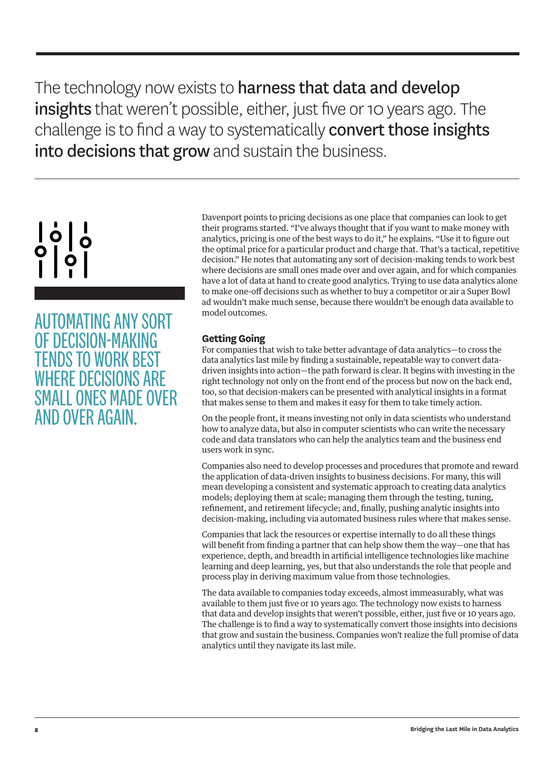The technology now exists to harness that data and develop insights that weren't possible, either, just five or 10 years ago. The challenge is to find a way to systematically convert those insights into decisions that grow and sustain the business.

## $\left[\begin{array}{c} 1 \\ 0 \end{array}\right]$  $\begin{bmatrix} 0 \\ 1 \\ 1 \end{bmatrix}$

AUTOMATING ANY SORT OF DECISION-MAKING TENDS TO WORK BEST WHERE DECISIONS ARE SMALL ONES MADE OVER AND OVER AGAIN.

Davenport points to pricing decisions as one place that companies can look to get their programs started. "I've always thought that if you want to make money with analytics, pricing is one of the best ways to do it," he explains. "Use it to figure out the optimal price for a particular product and charge that. That's a tactical, repetitive decision." He notes that automating any sort of decision-making tends to work best where decisions are small ones made over and over again, and for which companies have a lot of data at hand to create good analytics. Trying to use data analytics alone to make one-off decisions such as whether to buy a competitor or air a Super Bowl ad wouldn't make much sense, because there wouldn't be enough data available to model outcomes.

## **Getting Going**

For companies that wish to take better advantage of data analytics—to cross the data analytics last mile by finding a sustainable, repeatable way to convert datadriven insights into action—the path forward is clear. It begins with investing in the right technology not only on the front end of the process but now on the back end, too, so that decision-makers can be presented with analytical insights in a format that makes sense to them and makes it easy for them to take timely action.

On the people front, it means investing not only in data scientists who understand how to analyze data, but also in computer scientists who can write the necessary code and data translators who can help the analytics team and the business end users work in sync.

Companies also need to develop processes and procedures that promote and reward the application of data-driven insights to business decisions. For many, this will mean developing a consistent and systematic approach to creating data analytics models; deploying them at scale; managing them through the testing, tuning, refinement, and retirement lifecycle; and, finally, pushing analytic insights into decision-making, including via automated business rules where that makes sense.

Companies that lack the resources or expertise internally to do all these things will benefit from finding a partner that can help show them the way—one that has experience, depth, and breadth in artificial intelligence technologies like machine learning and deep learning, yes, but that also understands the role that people and process play in deriving maximum value from those technologies.

The data available to companies today exceeds, almost immeasurably, what was available to them just five or 10 years ago. The technology now exists to harness that data and develop insights that weren't possible, either, just five or 10 years ago. The challenge is to find a way to systematically convert those insights into decisions that grow and sustain the business. Companies won't realize the full promise of data analytics until they navigate its last mile.